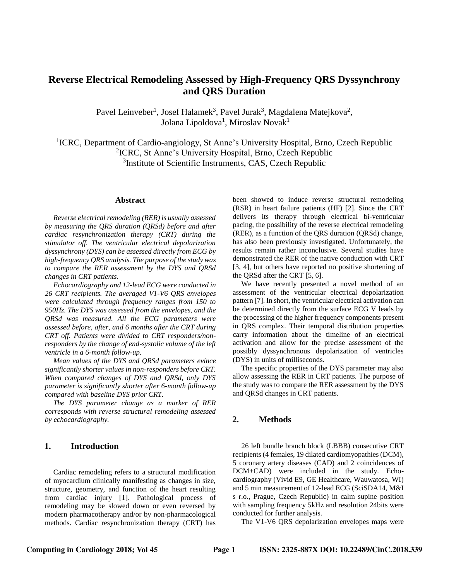# **Reverse Electrical Remodeling Assessed by High-Frequency QRS Dyssynchrony and QRS Duration**

Pavel Leinveber<sup>1</sup>, Josef Halamek<sup>3</sup>, Pavel Jurak<sup>3</sup>, Magdalena Matejkova<sup>2</sup>, Jolana Lipoldova<sup>1</sup>, Miroslav Novak<sup>1</sup>

<sup>1</sup>ICRC, Department of Cardio-angiology, St Anne's University Hospital, Brno, Czech Republic 2 ICRC, St Anne's University Hospital, Brno, Czech Republic <sup>3</sup>Institute of Scientific Instruments, CAS, Czech Republic

#### **Abstract**

*Reverse electrical remodeling (RER) is usually assessed by measuring the QRS duration (QRSd) before and after cardiac resynchronization therapy (CRT) during the stimulator off. The ventricular electrical depolarization dyssynchrony (DYS) can be assessed directly from ECG by high-frequency QRS analysis. The purpose of the study was to compare the RER assessment by the DYS and QRSd changes in CRT patients.*

*Echocardiography and 12-lead ECG were conducted in 26 CRT recipients. The averaged V1-V6 QRS envelopes were calculated through frequency ranges from 150 to 950Hz. The DYS was assessed from the envelopes, and the QRSd was measured. All the ECG parameters were assessed before, after, and 6 months after the CRT during CRT off. Patients were divided to CRT responders/nonresponders by the change of end-systolic volume of the left ventricle in a 6-month follow-up.*

*Mean values of the DYS and QRSd parameters evince significantly shorter values in non-responders before CRT. When compared changes of DYS and QRSd, only DYS parameter is significantly shorter after 6-month follow-up compared with baseline DYS prior CRT.*

*The DYS parameter change as a marker of RER corresponds with reverse structural remodeling assessed by echocardiography.*

# **1. Introduction**

Cardiac remodeling refers to a structural modification of myocardium clinically manifesting as changes in size, structure, geometry, and function of the heart resulting from cardiac injury [\[1\]](#page-3-0). Pathological process of remodeling may be slowed down or even reversed by modern pharmacotherapy and/or by non-pharmacological methods. Cardiac resynchronization therapy (CRT) has

been showed to induce reverse structural remodeling (RSR) in heart failure patients (HF) [\[2\]](#page-3-1). Since the CRT delivers its therapy through electrical bi-ventricular pacing, the possibility of the reverse electrical remodeling (RER), as a function of the QRS duration (QRSd) change, has also been previously investigated. Unfortunately, the results remain rather inconclusive. Several studies have demonstrated the RER of the native conduction with CRT [\[3,](#page-3-2) [4\]](#page-3-3), but others have reported no positive shortening of the QRSd after the CRT [\[5,](#page-3-4) [6\]](#page-3-5).

We have recently presented a novel method of an assessment of the ventricular electrical depolarization pattern [\[7\]](#page-3-6). In short, the ventricular electrical activation can be determined directly from the surface ECG V leads by the processing of the higher frequency components present in QRS complex. Their temporal distribution properties carry information about the timeline of an electrical activation and allow for the precise assessment of the possibly dyssynchronous depolarization of ventricles (DYS) in units of milliseconds.

The specific properties of the DYS parameter may also allow assessing the RER in CRT patients. The purpose of the study was to compare the RER assessment by the DYS and QRSd changes in CRT patients.

### **2. Methods**

26 left bundle branch block (LBBB) consecutive CRT recipients (4 females, 19 dilated cardiomyopathies (DCM), 5 coronary artery diseases (CAD) and 2 coincidences of DCM+CAD) were included in the study. Echocardiography (Vivid E9, GE Healthcare, Wauwatosa, WI) and 5 min measurement of 12-lead ECG (SciSDA14, M&I s r.o., Prague, Czech Republic) in calm supine position with sampling frequency 5kHz and resolution 24bits were conducted for further analysis.

The V1-V6 QRS depolarization envelopes maps were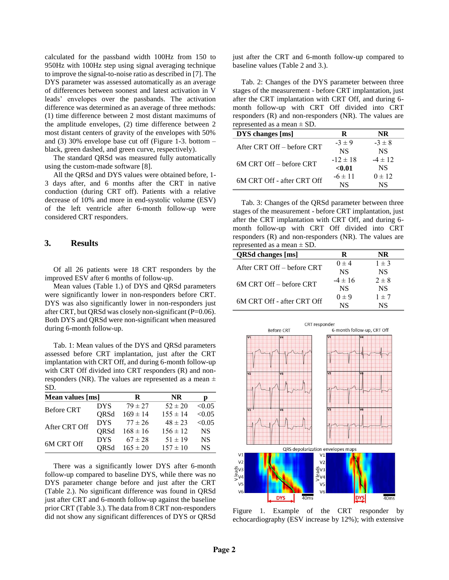calculated for the passband width 100Hz from 150 to 950Hz with 100Hz step using signal averaging technique to improve the signal-to-noise ratio as described in [\[7\]](#page-3-6). The DYS parameter was assessed automatically as an average of differences between soonest and latest activation in V leads' envelopes over the passbands. The activation difference was determined as an average of three methods: (1) time difference between 2 most distant maximums of the amplitude envelopes, (2) time difference between 2 most distant centers of gravity of the envelopes with 50% and (3) 30% envelope base cut off (Figure 1-3. bottom – black, green dashed, and green curve, respectively).

The standard QRSd was measured fully automatically using the custom-made software [\[8\]](#page-3-7).

All the QRSd and DYS values were obtained before, 1- 3 days after, and 6 months after the CRT in native conduction (during CRT off). Patients with a relative decrease of 10% and more in end-systolic volume (ESV) of the left ventricle after 6-month follow-up were considered CRT responders.

# **3. Results**

Of all 26 patients were 18 CRT responders by the improved ESV after 6 months of follow-up.

Mean values (Table 1.) of DYS and QRSd parameters were significantly lower in non-responders before CRT. DYS was also significantly lower in non-responders just after CRT, but QRSd was closely non-significant (P=0.06). Both DYS and QRSd were non-significant when measured during 6-month follow-up.

Tab. 1: Mean values of the DYS and QRSd parameters assessed before CRT implantation, just after the CRT implantation with CRT Off, and during 6-month follow-up with CRT Off divided into CRT responders (R) and nonresponders (NR). The values are represented as a mean  $\pm$ SD.

| Mean values [ms]  |            | R            | <b>NR</b>    | р         |
|-------------------|------------|--------------|--------------|-----------|
| <b>Before CRT</b> | <b>DYS</b> | $79 \pm 27$  | $52 \pm 20$  | < 0.05    |
|                   | QRSd       | $169 \pm 14$ | $155 \pm 14$ | < 0.05    |
| After CRT Off     | <b>DYS</b> | $77 \pm 26$  | $48 \pm 23$  | < 0.05    |
|                   | ORSd       | $168 \pm 16$ | $156 \pm 12$ | <b>NS</b> |
| 6M CRT Off        | <b>DYS</b> | $67 \pm 28$  | $51 \pm 19$  | <b>NS</b> |
|                   | ORSd       | $165 \pm 20$ | $157 \pm 10$ | <b>NS</b> |

There was a significantly lower DYS after 6-month follow-up compared to baseline DYS, while there was no DYS parameter change before and just after the CRT (Table 2.). No significant difference was found in QRSd just after CRT and 6-month follow-up against the baseline prior CRT (Table 3.). The data from 8 CRT non-responders did not show any significant differences of DYS or QRSd just after the CRT and 6-month follow-up compared to baseline values (Table 2 and 3.).

Tab. 2: Changes of the DYS parameter between three stages of the measurement - before CRT implantation, just after the CRT implantation with CRT Off, and during 6 month follow-up with CRT Off divided into CRT responders (R) and non-responders (NR). The values are represented as a mean ± SD.

| <b>DYS</b> changes [ms]    | R            | NR          |
|----------------------------|--------------|-------------|
| After CRT Off – before CRT | $-3 \pm 9$   | $-3 \pm 8$  |
|                            | <b>NS</b>    | <b>NS</b>   |
| 6M CRT Off – before CRT    | $-12 \pm 18$ | $-4 \pm 12$ |
|                            | < 0.01       | <b>NS</b>   |
| 6M CRT Off - after CRT Off | $-6 \pm 11$  | $0 \pm 12$  |
|                            | NS           | NS          |

Tab. 3: Changes of the QRSd parameter between three stages of the measurement - before CRT implantation, just after the CRT implantation with CRT Off, and during 6 month follow-up with CRT Off divided into CRT responders (R) and non-responders (NR). The values are represented as a mean  $\pm$  SD.

| <b>QRSd changes [ms]</b>   | R           | NR        |
|----------------------------|-------------|-----------|
| After CRT Off – before CRT | $0 \pm 4$   | $1 \pm 3$ |
|                            | <b>NS</b>   | <b>NS</b> |
| 6M CRT Off – before CRT    | $-4 \pm 16$ | $2 \pm 8$ |
|                            | <b>NS</b>   | <b>NS</b> |
| 6M CRT Off - after CRT Off | $0 \pm 9$   | $1 \pm 7$ |
|                            | NS          | NS        |



Figure 1. Example of the CRT responder by echocardiography (ESV increase by 12%); with extensive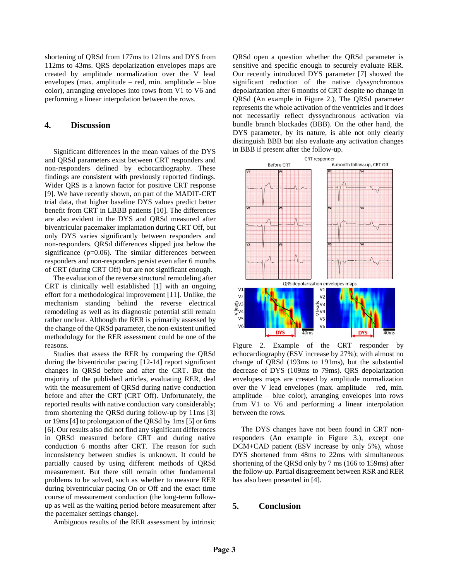shortening of QRSd from 177ms to 121ms and DYS from 112ms to 43ms. QRS depolarization envelopes maps are created by amplitude normalization over the V lead envelopes (max. amplitude – red, min. amplitude – blue color), arranging envelopes into rows from V1 to V6 and performing a linear interpolation between the rows.

# **4. Discussion**

Significant differences in the mean values of the DYS and QRSd parameters exist between CRT responders and non-responders defined by echocardiography. These findings are consistent with previously reported findings. Wider QRS is a known factor for positive CRT response [\[9\]](#page-3-8). We have recently shown, on part of the MADIT-CRT trial data, that higher baseline DYS values predict better benefit from CRT in LBBB patients [\[10\]](#page-3-9). The differences are also evident in the DYS and QRSd measured after biventricular pacemaker implantation during CRT Off, but only DYS varies significantly between responders and non-responders. QRSd differences slipped just below the significance  $(p=0.06)$ . The similar differences between responders and non-responders persist even after 6 months of CRT (during CRT Off) but are not significant enough.

The evaluation of the reverse structural remodeling after CRT is clinically well established [\[1\]](#page-3-0) with an ongoing effort for a methodological improvement [\[11\]](#page-3-10). Unlike, the mechanism standing behind the reverse electrical remodeling as well as its diagnostic potential still remain rather unclear. Although the RER is primarily assessed by the change of the QRSd parameter, the non-existent unified methodology for the RER assessment could be one of the reasons.

Studies that assess the RER by comparing the QRSd during the biventricular pacing [\[12-14\]](#page-3-11) report significant changes in QRSd before and after the CRT. But the majority of the published articles, evaluating RER, deal with the measurement of QRSd during native conduction before and after the CRT (CRT Off). Unfortunately, the reported results with native conduction vary considerably; from shortening the QRSd during follow-up by 11ms [\[3\]](#page-3-2) or 19ms [\[4\]](#page-3-3) to prolongation of the QRSd by 1ms [\[5\]](#page-3-4) or 6ms [\[6\]](#page-3-5). Our results also did not find any significant differences in QRSd measured before CRT and during native conduction 6 months after CRT. The reason for such inconsistency between studies is unknown. It could be partially caused by using different methods of QRSd measurement. But there still remain other fundamental problems to be solved, such as whether to measure RER during biventricular pacing On or Off and the exact time course of measurement conduction (the long-term followup as well as the waiting period before measurement after the pacemaker settings change).

Ambiguous results of the RER assessment by intrinsic

QRSd open a question whether the QRSd parameter is sensitive and specific enough to securely evaluate RER. Our recently introduced DYS parameter [\[7\]](#page-3-6) showed the significant reduction of the native dyssynchronous depolarization after 6 months of CRT despite no change in QRSd (An example in Figure 2.). The QRSd parameter represents the whole activation of the ventricles and it does not necessarily reflect dyssynchronous activation via bundle branch blockades (BBB). On the other hand, the DYS parameter, by its nature, is able not only clearly distinguish BBB but also evaluate any activation changes in BBB if present after the follow-up.



Figure 2. Example of the CRT responder by echocardiography (ESV increase by 27%); with almost no change of QRSd (193ms to 191ms), but the substantial decrease of DYS (109ms to 79ms). QRS depolarization envelopes maps are created by amplitude normalization over the V lead envelopes (max. amplitude – red, min. amplitude – blue color), arranging envelopes into rows from V1 to V6 and performing a linear interpolation between the rows.

The DYS changes have not been found in CRT nonresponders (An example in Figure 3.), except one DCM+CAD patient (ESV increase by only 5%), whose DYS shortened from 48ms to 22ms with simultaneous shortening of the QRSd only by 7 ms (166 to 159ms) after the follow-up. Partial disagreement between RSR and RER has also been presented in [\[4\]](#page-3-3).

#### **5. Conclusion**